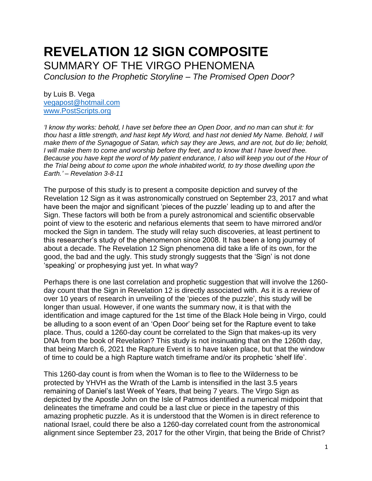# **REVELATION 12 SIGN COMPOSITE** SUMMARY OF THE VIRGO PHENOMENA

*Conclusion to the Prophetic Storyline – The Promised Open Door?*

by Luis B. Vega [vegapost@hotmail.com](mailto:vegapost@hotmail.com) [www.PostScripts.org](http://www.postscripts.org/)

*'I know thy works: behold, I have set before thee an Open Door, and no man can shut it: for thou hast a little strength, and hast kept My Word, and hast not denied My Name. Behold, I will make them of the Synagogue of Satan, which say they are Jews, and are not, but do lie; behold, I will make them to come and worship before thy feet, and to know that I have loved thee. Because you have kept the word of My patient endurance, I also will keep you out of the Hour of the Trial being about to come upon the whole inhabited world, to try those dwelling upon the Earth.' – Revelation 3-8-11*

The purpose of this study is to present a composite depiction and survey of the Revelation 12 Sign as it was astronomically construed on September 23, 2017 and what have been the major and significant 'pieces of the puzzle' leading up to and after the Sign. These factors will both be from a purely astronomical and scientific observable point of view to the esoteric and nefarious elements that seem to have mirrored and/or mocked the Sign in tandem. The study will relay such discoveries, at least pertinent to this researcher's study of the phenomenon since 2008. It has been a long journey of about a decade. The Revelation 12 Sign phenomena did take a life of its own, for the good, the bad and the ugly. This study strongly suggests that the 'Sign' is not done 'speaking' or prophesying just yet. In what way?

Perhaps there is one last correlation and prophetic suggestion that will involve the 1260 day count that the Sign in Revelation 12 is directly associated with. As it is a review of over 10 years of research in unveiling of the 'pieces of the puzzle', this study will be longer than usual. However, if one wants the summary now, it is that with the identification and image captured for the 1st time of the Black Hole being in Virgo, could be alluding to a soon event of an 'Open Door' being set for the Rapture event to take place. Thus, could a 1260-day count be correlated to the Sign that makes-up its very DNA from the book of Revelation? This study is not insinuating that on the 1260th day, that being March 6, 2021 the Rapture Event is to have taken place, but that the window of time to could be a high Rapture watch timeframe and/or its prophetic 'shelf life'.

This 1260-day count is from when the Woman is to flee to the Wilderness to be protected by YHVH as the Wrath of the Lamb is intensified in the last 3.5 years remaining of Daniel's last Week of Years, that being 7 years. The Virgo Sign as depicted by the Apostle John on the Isle of Patmos identified a numerical midpoint that delineates the timeframe and could be a last clue or piece in the tapestry of this amazing prophetic puzzle. As it is understood that the Women is in direct reference to national Israel, could there be also a 1260-day correlated count from the astronomical alignment since September 23, 2017 for the other Virgin, that being the Bride of Christ?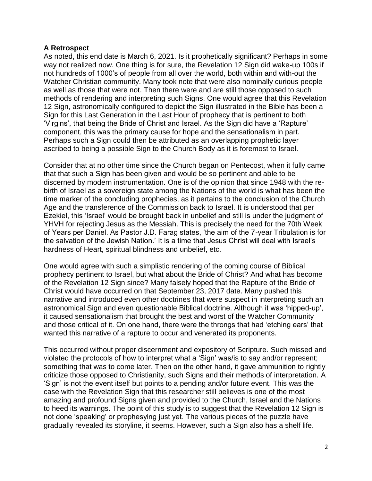# **A Retrospect**

As noted, this end date is March 6, 2021. Is it prophetically significant? Perhaps in some way not realized now. One thing is for sure, the Revelation 12 Sign did wake-up 100s if not hundreds of 1000's of people from all over the world, both within and with-out the Watcher Christian community. Many took note that were also nominally curious people as well as those that were not. Then there were and are still those opposed to such methods of rendering and interpreting such Signs. One would agree that this Revelation 12 Sign, astronomically configured to depict the Sign illustrated in the Bible has been a Sign for this Last Generation in the Last Hour of prophecy that is pertinent to both 'Virgins', that being the Bride of Christ and Israel. As the Sign did have a 'Rapture' component, this was the primary cause for hope and the sensationalism in part. Perhaps such a Sign could then be attributed as an overlapping prophetic layer ascribed to being a possible Sign to the Church Body as it is foremost to Israel.

Consider that at no other time since the Church began on Pentecost, when it fully came that that such a Sign has been given and would be so pertinent and able to be discerned by modern instrumentation. One is of the opinion that since 1948 with the rebirth of Israel as a sovereign state among the Nations of the world is what has been the time marker of the concluding prophecies, as it pertains to the conclusion of the Church Age and the transference of the Commission back to Israel. It is understood that per Ezekiel, this 'Israel' would be brought back in unbelief and still is under the judgment of YHVH for rejecting Jesus as the Messiah. This is precisely the need for the 70th Week of Years per Daniel. As Pastor J.D. Farag states, 'the aim of the 7-year Tribulation is for the salvation of the Jewish Nation.' It is a time that Jesus Christ will deal with Israel's hardness of Heart, spiritual blindness and unbelief, etc.

One would agree with such a simplistic rendering of the coming course of Biblical prophecy pertinent to Israel, but what about the Bride of Christ? And what has become of the Revelation 12 Sign since? Many falsely hoped that the Rapture of the Bride of Christ would have occurred on that September 23, 2017 date. Many pushed this narrative and introduced even other doctrines that were suspect in interpreting such an astronomical Sign and even questionable Biblical doctrine. Although it was 'hipped-up', it caused sensationalism that brought the best and worst of the Watcher Community and those critical of it. On one hand, there were the throngs that had 'etching ears' that wanted this narrative of a rapture to occur and venerated its proponents.

This occurred without proper discernment and expository of Scripture. Such missed and violated the protocols of how to interpret what a 'Sign' was/is to say and/or represent; something that was to come later. Then on the other hand, it gave ammunition to rightly criticize those opposed to Christianity, such Signs and their methods of interpretation. A 'Sign' is not the event itself but points to a pending and/or future event. This was the case with the Revelation Sign that this researcher still believes is one of the most amazing and profound Signs given and provided to the Church, Israel and the Nations to heed its warnings. The point of this study is to suggest that the Revelation 12 Sign is not done 'speaking' or prophesying just yet. The various pieces of the puzzle have gradually revealed its storyline, it seems. However, such a Sign also has a shelf life.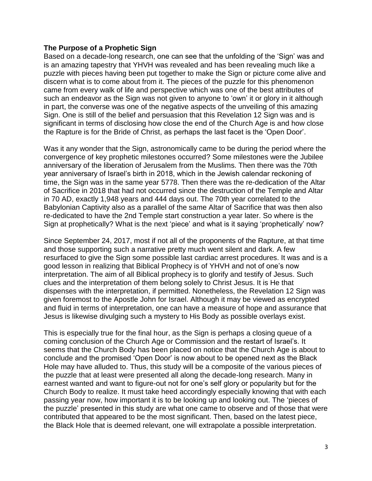# **The Purpose of a Prophetic Sign**

Based on a decade-long research, one can see that the unfolding of the 'Sign' was and is an amazing tapestry that YHVH was revealed and has been revealing much like a puzzle with pieces having been put together to make the Sign or picture come alive and discern what is to come about from it. The pieces of the puzzle for this phenomenon came from every walk of life and perspective which was one of the best attributes of such an endeavor as the Sign was not given to anyone to 'own' it or glory in it although in part, the converse was one of the negative aspects of the unveiling of this amazing Sign. One is still of the belief and persuasion that this Revelation 12 Sign was and is significant in terms of disclosing how close the end of the Church Age is and how close the Rapture is for the Bride of Christ, as perhaps the last facet is the 'Open Door'.

Was it any wonder that the Sign, astronomically came to be during the period where the convergence of key prophetic milestones occurred? Some milestones were the Jubilee anniversary of the liberation of Jerusalem from the Muslims. Then there was the 70th year anniversary of Israel's birth in 2018, which in the Jewish calendar reckoning of time, the Sign was in the same year 5778. Then there was the re-dedication of the Altar of Sacrifice in 2018 that had not occurred since the destruction of the Temple and Altar in 70 AD, exactly 1,948 years and 444 days out. The 70th year correlated to the Babylonian Captivity also as a parallel of the same Altar of Sacrifice that was then also re-dedicated to have the 2nd Temple start construction a year later. So where is the Sign at prophetically? What is the next 'piece' and what is it saying 'prophetically' now?

Since September 24, 2017, most if not all of the proponents of the Rapture, at that time and those supporting such a narrative pretty much went silent and dark. A few resurfaced to give the Sign some possible last cardiac arrest procedures. It was and is a good lesson in realizing that Biblical Prophecy is of YHVH and not of one's now interpretation. The aim of all Biblical prophecy is to glorify and testify of Jesus. Such clues and the interpretation of them belong solely to Christ Jesus. It is He that dispenses with the interpretation, if permitted. Nonetheless, the Revelation 12 Sign was given foremost to the Apostle John for Israel. Although it may be viewed as encrypted and fluid in terms of interpretation, one can have a measure of hope and assurance that Jesus is likewise divulging such a mystery to His Body as possible overlays exist.

This is especially true for the final hour, as the Sign is perhaps a closing queue of a coming conclusion of the Church Age or Commission and the restart of Israel's. It seems that the Church Body has been placed on notice that the Church Age is about to conclude and the promised 'Open Door' is now about to be opened next as the Black Hole may have alluded to. Thus, this study will be a composite of the various pieces of the puzzle that at least were presented all along the decade-long research. Many in earnest wanted and want to figure-out not for one's self glory or popularity but for the Church Body to realize. It must take heed accordingly especially knowing that with each passing year now, how important it is to be looking up and looking out. The 'pieces of the puzzle' presented in this study are what one came to observe and of those that were contributed that appeared to be the most significant. Then, based on the latest piece, the Black Hole that is deemed relevant, one will extrapolate a possible interpretation.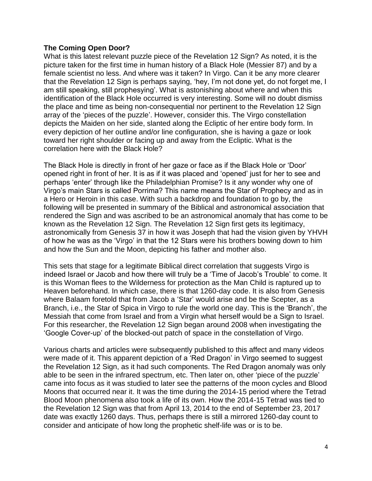# **The Coming Open Door?**

What is this latest relevant puzzle piece of the Revelation 12 Sign? As noted, it is the picture taken for the first time in human history of a Black Hole (Messier 87) and by a female scientist no less. And where was it taken? In Virgo. Can it be any more clearer that the Revelation 12 Sign is perhaps saying, 'hey, I'm not done yet, do not forget me, I am still speaking, still prophesying'. What is astonishing about where and when this identification of the Black Hole occurred is very interesting. Some will no doubt dismiss the place and time as being non-consequential nor pertinent to the Revelation 12 Sign array of the 'pieces of the puzzle'. However, consider this. The Virgo constellation depicts the Maiden on her side, slanted along the Ecliptic of her entire body form. In every depiction of her outline and/or line configuration, she is having a gaze or look toward her right shoulder or facing up and away from the Ecliptic. What is the correlation here with the Black Hole?

The Black Hole is directly in front of her gaze or face as if the Black Hole or 'Door' opened right in front of her. It is as if it was placed and 'opened' just for her to see and perhaps 'enter' through like the Philadelphian Promise? Is it any wonder why one of Virgo's main Stars is called Porrima? This name means the Star of Prophecy and as in a Hero or Heroin in this case. With such a backdrop and foundation to go by, the following will be presented in summary of the Biblical and astronomical association that rendered the Sign and was ascribed to be an astronomical anomaly that has come to be known as the Revelation 12 Sign. The Revelation 12 Sign first gets its legitimacy, astronomically from Genesis 37 in how it was Joseph that had the vision given by YHVH of how he was as the 'Virgo' in that the 12 Stars were his brothers bowing down to him and how the Sun and the Moon, depicting his father and mother also.

This sets that stage for a legitimate Biblical direct correlation that suggests Virgo is indeed Israel or Jacob and how there will truly be a 'Time of Jacob's Trouble' to come. It is this Woman flees to the Wilderness for protection as the Man Child is raptured up to Heaven beforehand. In which case, there is that 1260-day code. It is also from Genesis where Balaam foretold that from Jacob a 'Star' would arise and be the Scepter, as a Branch, i.e., the Star of Spica in Virgo to rule the world one day. This is the 'Branch', the Messiah that come from Israel and from a Virgin what herself would be a Sign to Israel. For this researcher, the Revelation 12 Sign began around 2008 when investigating the 'Google Cover-up' of the blocked-out patch of space in the constellation of Virgo.

Various charts and articles were subsequently published to this affect and many videos were made of it. This apparent depiction of a 'Red Dragon' in Virgo seemed to suggest the Revelation 12 Sign, as it had such components. The Red Dragon anomaly was only able to be seen in the infrared spectrum, etc. Then later on, other 'piece of the puzzle' came into focus as it was studied to later see the patterns of the moon cycles and Blood Moons that occurred near it. It was the time during the 2014-15 period where the Tetrad Blood Moon phenomena also took a life of its own. How the 2014-15 Tetrad was tied to the Revelation 12 Sign was that from April 13, 2014 to the end of September 23, 2017 date was exactly 1260 days. Thus, perhaps there is still a mirrored 1260-day count to consider and anticipate of how long the prophetic shelf-life was or is to be.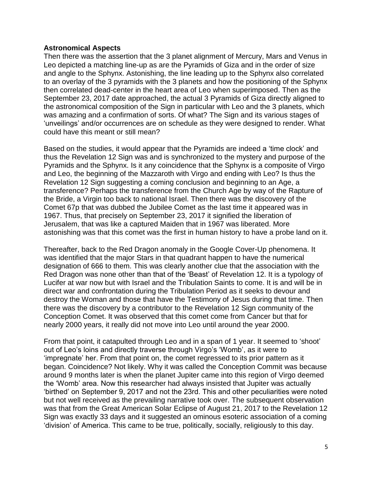# **Astronomical Aspects**

Then there was the assertion that the 3 planet alignment of Mercury, Mars and Venus in Leo depicted a matching line-up as are the Pyramids of Giza and in the order of size and angle to the Sphynx. Astonishing, the line leading up to the Sphynx also correlated to an overlay of the 3 pyramids with the 3 planets and how the positioning of the Sphynx then correlated dead-center in the heart area of Leo when superimposed. Then as the September 23, 2017 date approached, the actual 3 Pyramids of Giza directly aligned to the astronomical composition of the Sign in particular with Leo and the 3 planets, which was amazing and a confirmation of sorts. Of what? The Sign and its various stages of 'unveilings' and/or occurrences are on schedule as they were designed to render. What could have this meant or still mean?

Based on the studies, it would appear that the Pyramids are indeed a 'time clock' and thus the Revelation 12 Sign was and is synchronized to the mystery and purpose of the Pyramids and the Sphynx. Is it any coincidence that the Sphynx is a composite of Virgo and Leo, the beginning of the Mazzaroth with Virgo and ending with Leo? Is thus the Revelation 12 Sign suggesting a coming conclusion and beginning to an Age, a transference? Perhaps the transference from the Church Age by way of the Rapture of the Bride, a Virgin too back to national Israel. Then there was the discovery of the Comet 67p that was dubbed the Jubilee Comet as the last time it appeared was in 1967. Thus, that precisely on September 23, 2017 it signified the liberation of Jerusalem, that was like a captured Maiden that in 1967 was liberated. More astonishing was that this comet was the first in human history to have a probe land on it.

Thereafter, back to the Red Dragon anomaly in the Google Cover-Up phenomena. It was identified that the major Stars in that quadrant happen to have the numerical designation of 666 to them. This was clearly another clue that the association with the Red Dragon was none other than that of the 'Beast' of Revelation 12. It is a typology of Lucifer at war now but with Israel and the Tribulation Saints to come. It is and will be in direct war and confrontation during the Tribulation Period as it seeks to devour and destroy the Woman and those that have the Testimony of Jesus during that time. Then there was the discovery by a contributor to the Revelation 12 Sign community of the Conception Comet. It was observed that this comet come from Cancer but that for nearly 2000 years, it really did not move into Leo until around the year 2000.

From that point, it catapulted through Leo and in a span of 1 year. It seemed to 'shoot' out of Leo's loins and directly traverse through Virgo's 'Womb', as it were to 'impregnate' her. From that point on, the comet regressed to its prior pattern as it began. Coincidence? Not likely. Why it was called the Conception Commit was because around 9 months later is when the planet Jupiter came into this region of Virgo deemed the 'Womb' area. Now this researcher had always insisted that Jupiter was actually 'birthed' on September 9, 2017 and not the 23rd. This and other peculiarities were noted but not well received as the prevailing narrative took over. The subsequent observation was that from the Great American Solar Eclipse of August 21, 2017 to the Revelation 12 Sign was exactly 33 days and it suggested an ominous esoteric association of a coming 'division' of America. This came to be true, politically, socially, religiously to this day.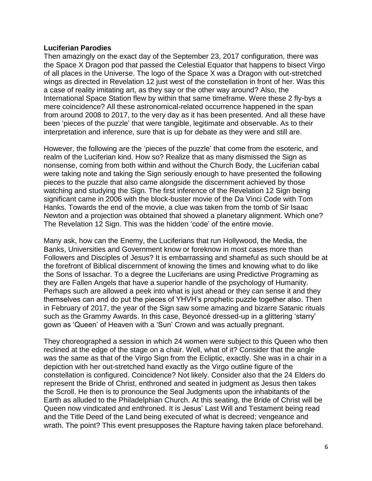# **Luciferian Parodies**

Then amazingly on the exact day of the September 23, 2017 configuration, there was the Space X Dragon pod that passed the Celestial Equator that happens to bisect Virgo of all places in the Universe. The logo of the Space X was a Dragon with out-stretched wings as directed in Revelation 12 just west of the constellation in front of her. Was this a case of reality imitating art, as they say or the other way around? Also, the International Space Station flew by within that same timeframe. Were these 2 fly-bys a mere coincidence? All these astronomical-related occurrence happened in the span from around 2008 to 2017, to the very day as it has been presented. And all these have been 'pieces of the puzzle' that were tangible, legitimate and observable. As to their interpretation and inference, sure that is up for debate as they were and still are.

However, the following are the 'pieces of the puzzle' that come from the esoteric, and realm of the Luciferian kind. How so? Realize that as many dismissed the Sign as nonsense, coming from both within and without the Church Body, the Luciferian cabal were taking note and taking the Sign seriously enough to have presented the following pieces to the puzzle that also came alongside the discernment achieved by those watching and studying the Sign. The first inference of the Revelation 12 Sign being significant came in 2006 with the block-buster movie of the Da Vinci Code with Tom Hanks. Towards the end of the movie, a clue was taken from the tomb of Sir Isaac Newton and a projection was obtained that showed a planetary alignment. Which one? The Revelation 12 Sign. This was the hidden 'code' of the entire movie.

Many ask, how can the Enemy, the Luciferians that run Hollywood, the Media, the Banks, Universities and Government know or foreknow in most cases more than Followers and Disciples of Jesus? It is embarrassing and shameful as such should be at the forefront of Biblical discernment of knowing the times and knowing what to do like the Sons of Issachar. To a degree the Luciferians are using Predictive Programing as they are Fallen Angels that have a superior handle of the psychology of Humanity. Perhaps such are allowed a peek into what is just ahead or they can sense it and they themselves can and do put the pieces of YHVH's prophetic puzzle together also. Then in February of 2017, the year of the Sign saw some amazing and bizarre Satanic rituals such as the Grammy Awards. In this case, Beyoncé dressed-up in a glittering 'starry' gown as 'Queen' of Heaven with a 'Sun' Crown and was actually pregnant.

They choreographed a session in which 24 women were subject to this Queen who then reclined at the edge of the stage on a chair. Well, what of it? Consider that the angle was the same as that of the Virgo Sign from the Ecliptic, exactly. She was in a chair in a depiction with her out-stretched hand exactly as the Virgo outline figure of the constellation is configured. Coincidence? Not likely. Consider also that the 24 Elders do represent the Bride of Christ, enthroned and seated in judgment as Jesus then takes the Scroll. He then is to pronounce the Seal Judgments upon the inhabitants of the Earth as alluded to the Philadelphian Church. At this seating, the Bride of Christ will be Queen now vindicated and enthroned. It is Jesus' Last Will and Testament being read and the Title Deed of the Land being executed of what is decreed; vengeance and wrath. The point? This event presupposes the Rapture having taken place beforehand.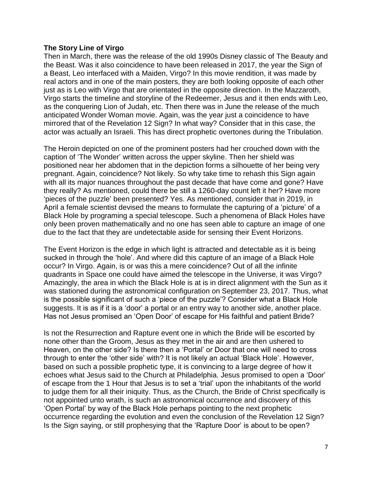# **The Story Line of Virgo**

Then in March, there was the release of the old 1990s Disney classic of The Beauty and the Beast. Was it also coincidence to have been released in 2017, the year the Sign of a Beast, Leo interfaced with a Maiden, Virgo? In this movie rendition, it was made by real actors and in one of the main posters, they are both looking opposite of each other just as is Leo with Virgo that are orientated in the opposite direction. In the Mazzaroth, Virgo starts the timeline and storyline of the Redeemer, Jesus and it then ends with Leo, as the conquering Lion of Judah, etc. Then there was in June the release of the much anticipated Wonder Woman movie. Again, was the year just a coincidence to have mirrored that of the Revelation 12 Sign? In what way? Consider that in this case, the actor was actually an Israeli. This has direct prophetic overtones during the Tribulation.

The Heroin depicted on one of the prominent posters had her crouched down with the caption of 'The Wonder' written across the upper skyline. Then her shield was positioned near her abdomen that in the depiction forms a silhouette of her being very pregnant. Again, coincidence? Not likely. So why take time to rehash this Sign again with all its major nuances throughout the past decade that have come and gone? Have they really? As mentioned, could there be still a 1260-day count left it her? Have more 'pieces of the puzzle' been presented? Yes. As mentioned, consider that in 2019, in April a female scientist devised the means to formulate the capturing of a 'picture' of a Black Hole by programing a special telescope. Such a phenomena of Black Holes have only been proven mathematically and no one has seen able to capture an image of one due to the fact that they are undetectable aside for sensing their Event Horizons.

The Event Horizon is the edge in which light is attracted and detectable as it is being sucked in through the 'hole'. And where did this capture of an image of a Black Hole occur? In Virgo. Again, is or was this a mere coincidence? Out of all the infinite quadrants in Space one could have aimed the telescope in the Universe, it was Virgo? Amazingly, the area in which the Black Hole is at is in direct alignment with the Sun as it was stationed during the astronomical configuration on September 23, 2017. Thus, what is the possible significant of such a 'piece of the puzzle'? Consider what a Black Hole suggests. It is as if it is a 'door' a portal or an entry way to another side, another place. Has not Jesus promised an 'Open Door' of escape for His faithful and patient Bride?

Is not the Resurrection and Rapture event one in which the Bride will be escorted by none other than the Groom, Jesus as they met in the air and are then ushered to Heaven, on the other side? Is there then a 'Portal' or Door that one will need to cross through to enter the 'other side' with? It is not likely an actual 'Black Hole'. However, based on such a possible prophetic type, it is convincing to a large degree of how it echoes what Jesus said to the Church at Philadelphia. Jesus promised to open a 'Door' of escape from the 1 Hour that Jesus is to set a 'trial' upon the inhabitants of the world to judge them for all their iniquity. Thus, as the Church, the Bride of Christ specifically is not appointed unto wrath, is such an astronomical occurrence and discovery of this 'Open Portal' by way of the Black Hole perhaps pointing to the next prophetic occurrence regarding the evolution and even the conclusion of the Revelation 12 Sign? Is the Sign saying, or still prophesying that the 'Rapture Door' is about to be open?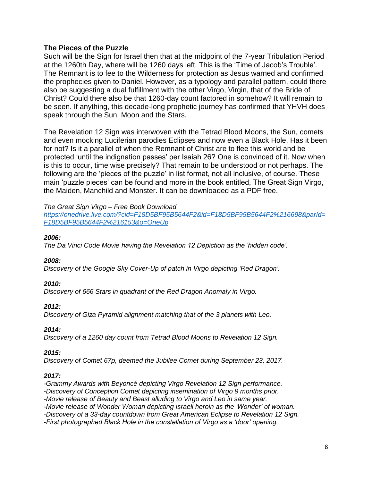# **The Pieces of the Puzzle**

Such will be the Sign for Israel then that at the midpoint of the 7-year Tribulation Period at the 1260th Day, where will be 1260 days left. This is the 'Time of Jacob's Trouble'. The Remnant is to fee to the Wilderness for protection as Jesus warned and confirmed the prophecies given to Daniel. However, as a typology and parallel pattern, could there also be suggesting a dual fulfillment with the other Virgo, Virgin, that of the Bride of Christ? Could there also be that 1260-day count factored in somehow? It will remain to be seen. If anything, this decade-long prophetic journey has confirmed that YHVH does speak through the Sun, Moon and the Stars.

The Revelation 12 Sign was interwoven with the Tetrad Blood Moons, the Sun, comets and even mocking Luciferian parodies Eclipses and now even a Black Hole. Has it been for not? Is it a parallel of when the Remnant of Christ are to flee this world and be protected 'until the indignation passes' per Isaiah 26? One is convinced of it. Now when is this to occur, time wise precisely? That remain to be understood or not perhaps. The following are the 'pieces of the puzzle' in list format, not all inclusive, of course. These main 'puzzle pieces' can be found and more in the book entitled, The Great Sign Virgo, the Maiden, Manchild and Monster. It can be downloaded as a PDF free.

# *The Great Sign Virgo – Free Book Download*

*[https://onedrive.live.com/?cid=F18D5BF95B5644F2&id=F18D5BF95B5644F2%216698&parId=](https://onedrive.live.com/?cid=F18D5BF95B5644F2&id=F18D5BF95B5644F2%216698&parId=F18D5BF95B5644F2%216153&o=OneUp) [F18D5BF95B5644F2%216153&o=OneUp](https://onedrive.live.com/?cid=F18D5BF95B5644F2&id=F18D5BF95B5644F2%216698&parId=F18D5BF95B5644F2%216153&o=OneUp)*

#### *2006:*

*The Da Vinci Code Movie having the Revelation 12 Depiction as the 'hidden code'.*

# *2008:*

*Discovery of the Google Sky Cover-Up of patch in Virgo depicting 'Red Dragon'.*

# *2010:*

*Discovery of 666 Stars in quadrant of the Red Dragon Anomaly in Virgo.* 

# *2012:*

*Discovery of Giza Pyramid alignment matching that of the 3 planets with Leo.*

#### *2014:*

*Discovery of a 1260 day count from Tetrad Blood Moons to Revelation 12 Sign.*

# *2015:*

*Discovery of Comet 67p, deemed the Jubilee Comet during September 23, 2017.*

#### *2017:*

*-Grammy Awards with Beyoncé depicting Virgo Revelation 12 Sign performance. -Discovery of Conception Comet depicting insemination of Virgo 9 months prior. -Movie release of Beauty and Beast alluding to Virgo and Leo in same year. -Movie release of Wonder Woman depicting Israeli heroin as the 'Wonder' of woman. -Discovery of a 33-day countdown from Great American Eclipse to Revelation 12 Sign. -First photographed Black Hole in the constellation of Virgo as a 'door' opening.*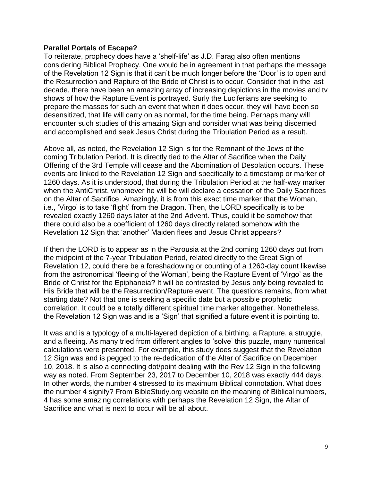# **Parallel Portals of Escape?**

To reiterate, prophecy does have a 'shelf-life' as J.D. Farag also often mentions considering Biblical Prophecy. One would be in agreement in that perhaps the message of the Revelation 12 Sign is that it can't be much longer before the 'Door' is to open and the Resurrection and Rapture of the Bride of Christ is to occur. Consider that in the last decade, there have been an amazing array of increasing depictions in the movies and tv shows of how the Rapture Event is portrayed. Surly the Luciferians are seeking to prepare the masses for such an event that when it does occur, they will have been so desensitized, that life will carry on as normal, for the time being. Perhaps many will encounter such studies of this amazing Sign and consider what was being discerned and accomplished and seek Jesus Christ during the Tribulation Period as a result.

Above all, as noted, the Revelation 12 Sign is for the Remnant of the Jews of the coming Tribulation Period. It is directly tied to the Altar of Sacrifice when the Daily Offering of the 3rd Temple will cease and the Abomination of Desolation occurs. These events are linked to the Revelation 12 Sign and specifically to a timestamp or marker of 1260 days. As it is understood, that during the Tribulation Period at the half-way marker when the AntiChrist, whomever he will be will declare a cessation of the Daily Sacrifices on the Altar of Sacrifice. Amazingly, it is from this exact time marker that the Woman, i.e., 'Virgo' is to take 'flight' from the Dragon. Then, the LORD specifically is to be revealed exactly 1260 days later at the 2nd Advent. Thus, could it be somehow that there could also be a coefficient of 1260 days directly related somehow with the Revelation 12 Sign that 'another' Maiden flees and Jesus Christ appears?

If then the LORD is to appear as in the Parousia at the 2nd coming 1260 days out from the midpoint of the 7-year Tribulation Period, related directly to the Great Sign of Revelation 12, could there be a foreshadowing or counting of a 1260-day count likewise from the astronomical 'fleeing of the Woman', being the Rapture Event of 'Virgo' as the Bride of Christ for the Epiphaneia? It will be contrasted by Jesus only being revealed to His Bride that will be the Resurrection/Rapture event. The questions remains, from what starting date? Not that one is seeking a specific date but a possible prophetic correlation. It could be a totally different spiritual time marker altogether. Nonetheless, the Revelation 12 Sign was and is a 'Sign' that signified a future event it is pointing to.

It was and is a typology of a multi-layered depiction of a birthing, a Rapture, a struggle, and a fleeing. As many tried from different angles to 'solve' this puzzle, many numerical calculations were presented. For example, this study does suggest that the Revelation 12 Sign was and is pegged to the re-dedication of the Altar of Sacrifice on December 10, 2018. It is also a connecting dot/point dealing with the Rev 12 Sign in the following way as noted. From September 23, 2017 to December 10, 2018 was exactly 444 days. In other words, the number 4 stressed to its maximum Biblical connotation. What does the number 4 signify? From BibleStudy.org website on the meaning of Biblical numbers, 4 has some amazing correlations with perhaps the Revelation 12 Sign, the Altar of Sacrifice and what is next to occur will be all about.